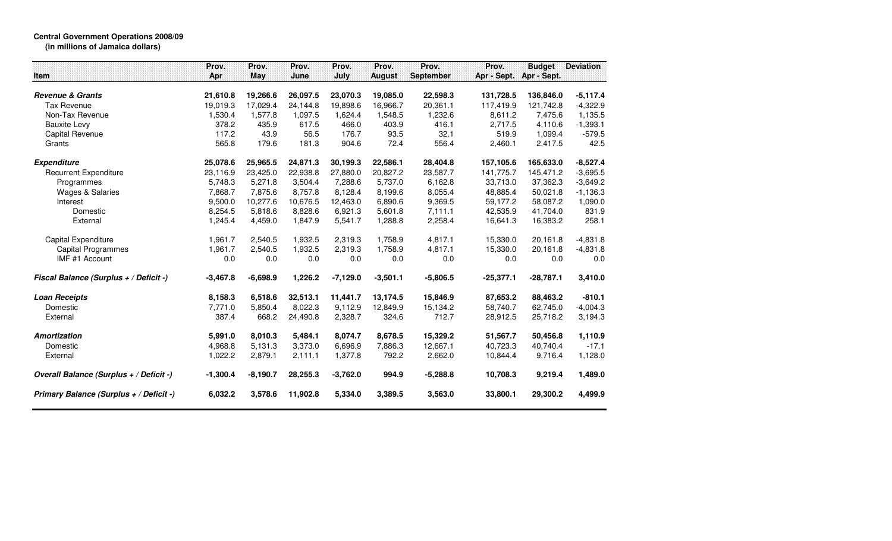## **Central Government Operations 2008/09 (in millions of Jamaica dollars)**

| <b>Item</b>                             | Prov.<br>Apr | Prov.<br>May | Prov.<br>June | Prov.<br>July | Prov.<br><b>August</b> | Prov.<br><b>September</b> | Prov.<br>Apr - Sept. | <b>Budget</b><br>Apr - Sept. | <b>Deviation</b> |
|-----------------------------------------|--------------|--------------|---------------|---------------|------------------------|---------------------------|----------------------|------------------------------|------------------|
|                                         |              |              |               |               |                        |                           |                      |                              |                  |
| <b>Revenue &amp; Grants</b>             | 21,610.8     | 19,266.6     | 26,097.5      | 23,070.3      | 19,085.0               | 22,598.3                  | 131,728.5            | 136,846.0                    | $-5,117.4$       |
| <b>Tax Revenue</b>                      | 19,019.3     | 17,029.4     | 24,144.8      | 19,898.6      | 16,966.7               | 20,361.1                  | 117,419.9            | 121,742.8                    | $-4,322.9$       |
| Non-Tax Revenue                         | 1,530.4      | 1,577.8      | 1,097.5       | 1,624.4       | 1,548.5                | 1,232.6                   | 8,611.2              | 7,475.6                      | 1,135.5          |
| <b>Bauxite Levy</b>                     | 378.2        | 435.9        | 617.5         | 466.0         | 403.9                  | 416.1                     | 2,717.5              | 4,110.6                      | $-1,393.1$       |
| Capital Revenue                         | 117.2        | 43.9         | 56.5          | 176.7         | 93.5                   | 32.1                      | 519.9                | 1,099.4                      | $-579.5$         |
| Grants                                  | 565.8        | 179.6        | 181.3         | 904.6         | 72.4                   | 556.4                     | 2,460.1              | 2,417.5                      | 42.5             |
| <b>Expenditure</b>                      | 25,078.6     | 25,965.5     | 24,871.3      | 30,199.3      | 22,586.1               | 28,404.8                  | 157,105.6            | 165,633.0                    | $-8,527.4$       |
| <b>Recurrent Expenditure</b>            | 23,116.9     | 23,425.0     | 22.938.8      | 27.880.0      | 20.827.2               | 23,587.7                  | 141.775.7            | 145.471.2                    | $-3,695.5$       |
| Programmes                              | 5.748.3      | 5.271.8      | 3,504.4       | 7,288.6       | 5.737.0                | 6,162.8                   | 33,713.0             | 37.362.3                     | $-3,649.2$       |
| Wages & Salaries                        | 7.868.7      | 7,875.6      | 8,757.8       | 8,128.4       | 8,199.6                | 8,055.4                   | 48,885.4             | 50,021.8                     | $-1,136.3$       |
| Interest                                | 9.500.0      | 10,277.6     | 10,676.5      | 12,463.0      | 6,890.6                | 9,369.5                   | 59,177.2             | 58.087.2                     | 1,090.0          |
| Domestic                                | 8,254.5      | 5,818.6      | 8,828.6       | 6,921.3       | 5,601.8                | 7,111.1                   | 42,535.9             | 41,704.0                     | 831.9            |
| External                                | 1,245.4      | 4,459.0      | 1,847.9       | 5,541.7       | 1,288.8                | 2,258.4                   | 16,641.3             | 16,383.2                     | 258.1            |
| Capital Expenditure                     | 1,961.7      | 2,540.5      | 1,932.5       | 2,319.3       | 1.758.9                | 4,817.1                   | 15,330.0             | 20,161.8                     | $-4,831.8$       |
| <b>Capital Programmes</b>               | 1,961.7      | 2,540.5      | 1,932.5       | 2,319.3       | 1,758.9                | 4,817.1                   | 15,330.0             | 20,161.8                     | $-4,831.8$       |
| IMF #1 Account                          | 0.0          | 0.0          | 0.0           | 0.0           | 0.0                    | 0.0                       | 0.0                  | 0.0                          | 0.0              |
| Fiscal Balance (Surplus + / Deficit -)  | $-3,467.8$   | $-6,698.9$   | 1,226.2       | $-7,129.0$    | $-3,501.1$             | $-5,806.5$                | $-25,377.1$          | $-28,787.1$                  | 3,410.0          |
| <b>Loan Receipts</b>                    | 8,158.3      | 6,518.6      | 32,513.1      | 11,441.7      | 13,174.5               | 15,846.9                  | 87,653.2             | 88,463.2                     | $-810.1$         |
| Domestic                                | 7.771.0      | 5,850.4      | 8.022.3       | 9,112.9       | 12,849.9               | 15,134.2                  | 58,740.7             | 62,745.0                     | $-4,004.3$       |
| External                                | 387.4        | 668.2        | 24,490.8      | 2,328.7       | 324.6                  | 712.7                     | 28,912.5             | 25,718.2                     | 3,194.3          |
| Amortization                            | 5,991.0      | 8,010.3      | 5,484.1       | 8,074.7       | 8,678.5                | 15,329.2                  | 51,567.7             | 50,456.8                     | 1,110.9          |
| Domestic                                | 4,968.8      | 5,131.3      | 3,373.0       | 6,696.9       | 7,886.3                | 12,667.1                  | 40,723.3             | 40,740.4                     | $-17.1$          |
| External                                | 1,022.2      | 2,879.1      | 2,111.1       | 1,377.8       | 792.2                  | 2,662.0                   | 10,844.4             | 9,716.4                      | 1,128.0          |
| Overall Balance (Surplus + / Deficit -) | $-1,300.4$   | $-8,190.7$   | 28,255.3      | $-3,762.0$    | 994.9                  | $-5,288.8$                | 10,708.3             | 9,219.4                      | 1,489.0          |
| Primary Balance (Surplus + / Deficit -) | 6,032.2      | 3,578.6      | 11,902.8      | 5,334.0       | 3,389.5                | 3,563.0                   | 33,800.1             | 29,300.2                     | 4,499.9          |